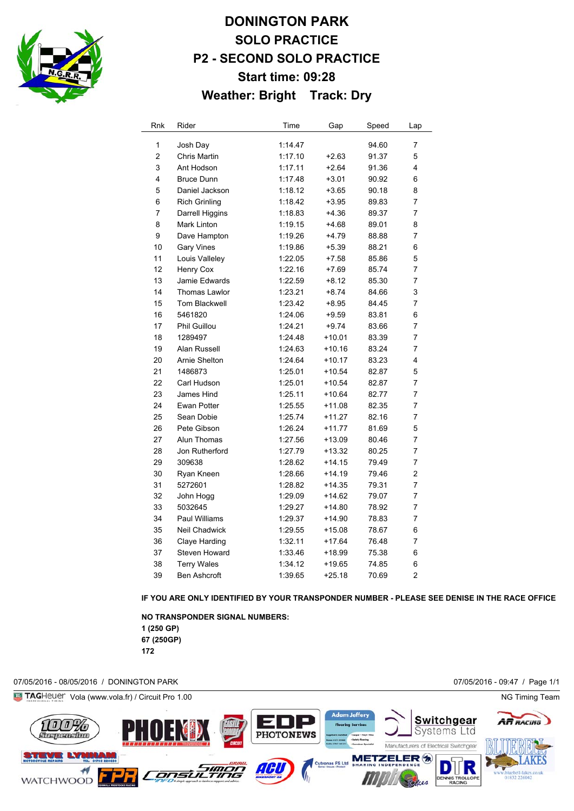

# **DONINGTON PARK SOLO PRACTICE P2 - SECOND SOLO PRACTICE Start time: 09:28 Weather: Bright Track: Dry**

| Rnk          | Rider                | Time    | Gap      | Speed | Lap            |
|--------------|----------------------|---------|----------|-------|----------------|
| $\mathbf{1}$ | Josh Day             | 1:14.47 |          | 94.60 | 7              |
| 2            | Chris Martin         | 1:17.10 | $+2.63$  | 91.37 | 5              |
| 3            | Ant Hodson           | 1:17.11 | $+2.64$  | 91.36 | 4              |
| 4            | <b>Bruce Dunn</b>    | 1:17.48 | $+3.01$  | 90.92 | 6              |
| 5            | Daniel Jackson       | 1:18.12 | $+3.65$  | 90.18 | 8              |
| 6            | <b>Rich Grinling</b> | 1:18.42 | $+3.95$  | 89.83 | 7              |
| 7            | Darrell Higgins      | 1:18.83 | $+4.36$  | 89.37 | 7              |
| 8            | Mark Linton          | 1:19.15 | $+4.68$  | 89.01 | 8              |
| 9            | Dave Hampton         | 1:19.26 | +4.79    | 88.88 | 7              |
| 10           | <b>Gary Vines</b>    | 1:19.86 | $+5.39$  | 88.21 | 6              |
| 11           | Louis Valleley       | 1:22.05 | $+7.58$  | 85.86 | 5              |
| 12           | Henry Cox            | 1:22.16 | $+7.69$  | 85.74 | 7              |
| 13           | Jamie Edwards        | 1:22.59 | +8.12    | 85.30 | $\overline{7}$ |
| 14           | Thomas Lawlor        | 1:23.21 | $+8.74$  | 84.66 | 3              |
| 15           | Tom Blackwell        | 1:23.42 | $+8.95$  | 84.45 | 7              |
| 16           | 5461820              | 1:24.06 | $+9.59$  | 83.81 | 6              |
| 17           | Phil Guillou         | 1:24.21 | $+9.74$  | 83.66 | 7              |
| 18           | 1289497              | 1:24.48 | +10.01   | 83.39 | 7              |
| 19           | Alan Russell         | 1:24.63 | $+10.16$ | 83.24 | 7              |
| 20           | Arnie Shelton        | 1:24.64 | $+10.17$ | 83.23 | 4              |
| 21           | 1486873              | 1:25.01 | $+10.54$ | 82.87 | 5              |
| 22           | Carl Hudson          | 1:25.01 | $+10.54$ | 82.87 | 7              |
| 23           | James Hind           | 1:25.11 | $+10.64$ | 82.77 | 7              |
| 24           | Ewan Potter          | 1:25.55 | $+11.08$ | 82.35 | 7              |
| 25           | Sean Dobie           | 1:25.74 | $+11.27$ | 82.16 | 7              |
| 26           | Pete Gibson          | 1:26.24 | $+11.77$ | 81.69 | 5              |
| 27           | Alun Thomas          | 1:27.56 | $+13.09$ | 80.46 | $\overline{7}$ |
| 28           | Jon Rutherford       | 1:27.79 | +13.32   | 80.25 | 7              |
| 29           | 309638               | 1:28.62 | $+14.15$ | 79.49 | 7              |
| 30           | Ryan Kneen           | 1:28.66 | $+14.19$ | 79.46 | $\overline{2}$ |
| 31           | 5272601              | 1:28.82 | $+14.35$ | 79.31 | $\overline{7}$ |
| 32           | John Hogg            | 1:29.09 | $+14.62$ | 79.07 | 7              |
| 33           | 5032645              | 1:29.27 | $+14.80$ | 78.92 | 7              |
| 34           | <b>Paul Williams</b> | 1:29.37 | $+14.90$ | 78.83 | 7              |
| 35           | <b>Neil Chadwick</b> | 1:29.55 | $+15.08$ | 78.67 | 6              |
| 36           | Claye Harding        | 1:32.11 | $+17.64$ | 76.48 | $\overline{7}$ |
| 37           | Steven Howard        | 1:33.46 | +18.99   | 75.38 | 6              |
| 38           | <b>Terry Wales</b>   | 1:34.12 | $+19.65$ | 74.85 | 6              |
| 39           | <b>Ben Ashcroft</b>  | 1:39.65 | $+25.18$ | 70.69 | $\overline{2}$ |

**IF YOU ARE ONLY IDENTIFIED BY YOUR TRANSPONDER NUMBER - PLEASE SEE DENISE IN THE RACE OFFICE**

**NO TRANSPONDER SIGNAL NUMBERS: 1 (250 GP) 67 (250GP)** 

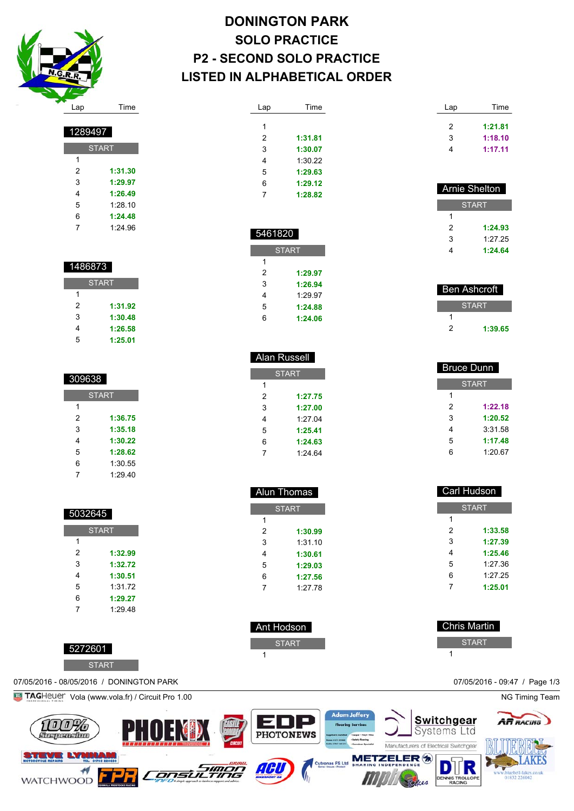

| <b>DONINGTON PARK</b>            |
|----------------------------------|
| <b>SOLO PRACTICE</b>             |
| <b>P2 - SECOND SOLO PRACTICE</b> |
| LISTED IN ALPHABETICAL ORDER     |

| Lap | Time    |
|-----|---------|
|     |         |
| 1   |         |
| 2   | 1:31.81 |
| 3   | 1:30.07 |
| 4   | 1:30.22 |
| 5   | 1:29.63 |
| 6   | 1:29.12 |
| 7   | 1:28.82 |
|     |         |

| 5461820 |              |  |  |
|---------|--------------|--|--|
|         | <b>START</b> |  |  |
| 1       |              |  |  |
| 2       | 1:29.97      |  |  |
| 3       | 1:26.94      |  |  |
| 4       | 1.29.97      |  |  |
| 5       | 1:24.88      |  |  |
| հ       | 1:24.06      |  |  |

 Alan Russell **START** 

> **1:27.75 1:27.00** 1:27.04 **1:25.41 1:24.63** 1:24.64

 Alun Thomas **START** 

> **1:30.99** 1:31.10 **1:30.61 1:29.03 1:27.56** 1:27.78

 Ant Hodson START

| Lap | Time    |
|-----|---------|
| 2   | 1:21.81 |
| 3   | 1:18.10 |
| 4   | 1:17.11 |

| <b>Arnie Shelton</b> |         |  |
|----------------------|---------|--|
| <b>START</b>         |         |  |
| 1                    |         |  |
| 2                    | 1:24.93 |  |
| 3                    | 1.27.25 |  |
| 4                    | 1:24.64 |  |

| Ben Ashcroft |         |  |
|--------------|---------|--|
| <b>START</b> |         |  |
|              |         |  |
| ッ            | 1:39.65 |  |

| <b>Bruce Dunn</b> |              |  |  |
|-------------------|--------------|--|--|
|                   | <b>START</b> |  |  |
| 1                 |              |  |  |
| 2                 | 1:22.18      |  |  |
| 3                 | 1:20.52      |  |  |
| 4                 | 3:31.58      |  |  |
| 5                 | 1:17.48      |  |  |
| 6                 | 1:20.67      |  |  |

| <b>Carl Hudson</b> |         |  |
|--------------------|---------|--|
| <b>START</b>       |         |  |
| 1                  |         |  |
| 2                  | 1:33.58 |  |
| 3                  | 1:27.39 |  |
| 4                  | 1:25.46 |  |
| 5                  | 1:27.36 |  |
| 6                  | 1:27.25 |  |
| 7                  | 1:25.01 |  |
|                    |         |  |

| <b>Chris Martin</b> |
|---------------------|
| <b>START</b>        |
|                     |



| 1 |         |
|---|---------|
| 2 | 1:31.30 |
| 3 | 1:29.97 |
| 4 | 1:26.49 |
| 5 | 1:28.10 |
| 6 | 1:24.48 |
| 7 | 1.2496  |
|   |         |
|   |         |
|   |         |

START

| 1486873      |         |  |
|--------------|---------|--|
| <b>START</b> |         |  |
| 1            |         |  |
| 2            | 1:31.92 |  |
| 3            | 1:30.48 |  |
| 4            | 1:26.58 |  |
| 5            | 1:25.01 |  |

| 309638       |         |  |
|--------------|---------|--|
| <b>START</b> |         |  |
| 1            |         |  |
| 2            | 1:36.75 |  |
| 3            | 1:35.18 |  |
| 4            | 1:30.22 |  |
| 5            | 1:28.62 |  |
| 6            | 1:30.55 |  |
| 7            | 1:29.40 |  |

| 5032645      |         |
|--------------|---------|
| <b>START</b> |         |
| 1            |         |
| 2            | 1:32.99 |
| 3            | 1:32.72 |
| 4            | 1:30.51 |
| 5            | 1:31.72 |
| 6            | 1:29.27 |
| 7            | 1.2948  |
|              |         |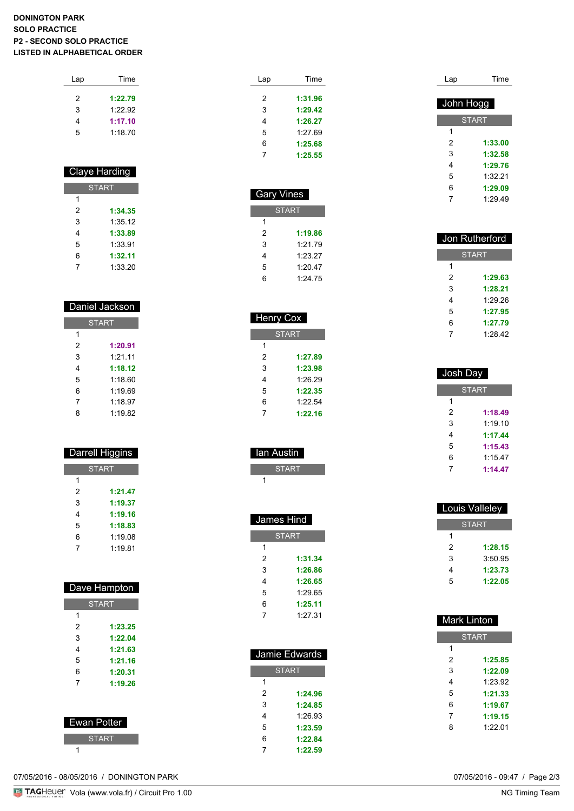#### **DONINGTON PARK SOLO PRACTICE P2 - SECOND SOLO PRACTICE LISTED IN ALPHABETICAL ORDER**

| Lap | Time    |  |
|-----|---------|--|
| 2   | 1:22.79 |  |
| 3   | 1.2292  |  |
| 4   | 1:17.10 |  |
| 5   | 1:18.70 |  |
|     |         |  |

# Claye Harding

| <b>START</b> |         |
|--------------|---------|
| 1            |         |
| 2            | 1:34.35 |
| 3            | 1:35.12 |
| 4            | 1:33.89 |
| 5            | 1:33.91 |
| 6            | 1:32.11 |
|              | 1:33.20 |

| Daniel Jackson |         |  |
|----------------|---------|--|
| <b>START</b>   |         |  |
| 1              |         |  |
| 2              | 1:20.91 |  |
| 3              | 1:21.11 |  |
| 4              | 1:18.12 |  |
| 5              | 1.1860  |  |
| 6              | 1.1969  |  |
| 7              | 1.1897  |  |
| 8              | 1.19.82 |  |

| Darrell Higgins |
|-----------------|
| <b>START</b>    |
|                 |

| 2 | 1:21.47 |
|---|---------|
| 3 | 1:19.37 |
| 4 | 1:19.16 |
| 5 | 1:18.83 |
| 6 | 1:19.08 |
|   | 1:19.81 |

|             | Dave Hampton |
|-------------|--------------|
|             | <b>START</b> |
| 1           |              |
| 2           | 1:23.25      |
| 3           | 1:22.04      |
| 4           | 1:21.63      |
| 5           | 1:21.16      |
| 6           | 1:20.31      |
| 7           | 1:19.26      |
|             |              |
|             |              |
| Ewan Potter |              |

| Lap | Time    |
|-----|---------|
|     |         |
| 2   | 1:31.96 |
| 3   | 1:29.42 |
| 4   | 1:26.27 |
| 5   | 1:27.69 |
| 6   | 1:25.68 |
|     | 1:25.55 |

| <b>Gary Vines</b> |         |  |
|-------------------|---------|--|
| <b>START</b>      |         |  |
| 1                 |         |  |
| 2                 | 1:19.86 |  |
| 3                 | 1:21.79 |  |
| 4                 | 1:23.27 |  |
| 5                 | 1.20.47 |  |
| հ                 | 1:24.75 |  |
|                   |         |  |

| <b>Henry Cox</b> |         |  |
|------------------|---------|--|
| <b>START</b>     |         |  |
| 1                |         |  |
| 2                | 1:27.89 |  |
| 3                | 1:23.98 |  |
| 4                | 1:26.29 |  |
| 5                | 1:22.35 |  |
| 6                | 1:22.54 |  |
| 7                | 1:22.16 |  |
|                  |         |  |

| lan Austin   |  |
|--------------|--|
| <b>START</b> |  |
|              |  |

| James Hind   |         |
|--------------|---------|
| <b>START</b> |         |
| 1            |         |
| 2            | 1:31.34 |
| 3            | 1:26.86 |
| 4            | 1:26.65 |
| 5            | 1:29.65 |
| 6            | 1:25.11 |
| 7            | 1:27.31 |

| Jamie Edwards |         |
|---------------|---------|
| <b>START</b>  |         |
| 1             |         |
| 2             | 1:24.96 |
| 3             | 1:24.85 |
| 4             | 1:26.93 |
| 5             | 1:23.59 |
| 6             | 1:22.84 |
|               | 1:22.59 |

| Lap       | Time         |
|-----------|--------------|
|           |              |
| John Hogg |              |
|           | <b>START</b> |
| 1         |              |
| 2         | 1:33.00      |
| 3         | 1:32.58      |
| 4         | 1:29.76      |
| 5         | 1:32 21      |
| 6         | 1:29.09      |
| 7         | 1.2949       |

| Jon Rutherford |         |
|----------------|---------|
| <b>START</b>   |         |
| 1              |         |
| 2              | 1:29.63 |
| 3              | 1:28.21 |
| 4              | 1.29.26 |
| 5              | 1:27.95 |
| 6              | 1:27.79 |
| 7              | 1:28.42 |

| Josh Dav     |         |
|--------------|---------|
| <b>START</b> |         |
| 1            |         |
| 2            | 1:18.49 |
| 3            | 1:19.10 |
| 4            | 1:17.44 |
| 5            | 1:15.43 |
| 6            | 1:15.47 |
|              | 1:14.47 |

| Louis Valleley |         |
|----------------|---------|
| <b>START</b>   |         |
| 1              |         |
| 2              | 1:28.15 |
| 3              | 3:50.95 |
| 4              | 1:23.73 |
| 5              | 1:22.05 |
|                |         |

| <b>Mark Linton</b> |         |
|--------------------|---------|
| <b>START</b>       |         |
| 1                  |         |
| 2                  | 1:25.85 |
| 3                  | 1:22.09 |
| 4                  | 1:23.92 |
| 5                  | 1:21.33 |
| 6                  | 1:19.67 |
| 7                  | 1:19.15 |
| 8                  | 1:22.01 |
|                    |         |

07/05/2016 - 08/05/2016 / DONINGTON PARK

**START**